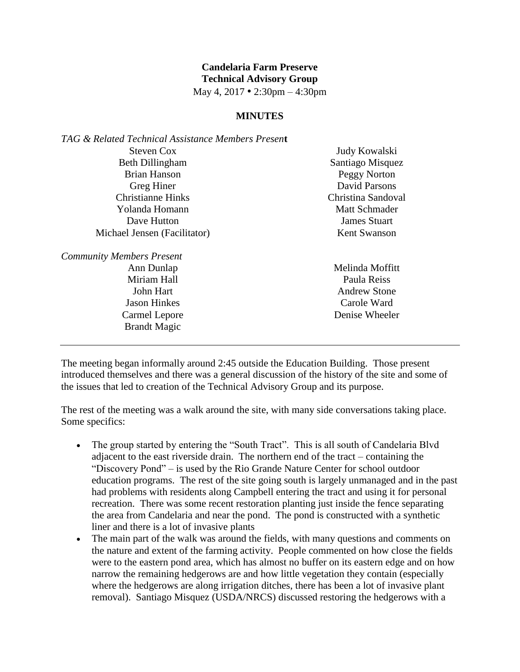## **Candelaria Farm Preserve Technical Advisory Group**

May 4, 2017 • 2:30pm – 4:30pm

## **MINUTES**

| TAG & Related Technical Assistance Members Present |                      |
|----------------------------------------------------|----------------------|
| Steven Cox                                         | Judy Kowalski        |
| <b>Beth Dillingham</b>                             | Santiago Misquez     |
| <b>Brian Hanson</b>                                | Peggy Norton         |
| Greg Hiner                                         | David Parsons        |
| <b>Christianne Hinks</b>                           | Christina Sandoval   |
| Yolanda Homann                                     | <b>Matt Schmader</b> |
| Dave Hutton                                        | <b>James Stuart</b>  |
| Michael Jensen (Facilitator)                       | <b>Kent Swanson</b>  |
|                                                    |                      |

*Community Members Present* Ann Dunlap Miriam Hall John Hart

Jason Hinkes Carmel Lepore Brandt Magic

Melinda Moffitt Paula Reiss Andrew Stone Carole Ward Denise Wheeler

The meeting began informally around 2:45 outside the Education Building. Those present introduced themselves and there was a general discussion of the history of the site and some of the issues that led to creation of the Technical Advisory Group and its purpose.

The rest of the meeting was a walk around the site, with many side conversations taking place. Some specifics:

- The group started by entering the "South Tract". This is all south of Candelaria Blvd adjacent to the east riverside drain. The northern end of the tract – containing the "Discovery Pond" – is used by the Rio Grande Nature Center for school outdoor education programs. The rest of the site going south is largely unmanaged and in the past had problems with residents along Campbell entering the tract and using it for personal recreation. There was some recent restoration planting just inside the fence separating the area from Candelaria and near the pond. The pond is constructed with a synthetic liner and there is a lot of invasive plants
- The main part of the walk was around the fields, with many questions and comments on the nature and extent of the farming activity. People commented on how close the fields were to the eastern pond area, which has almost no buffer on its eastern edge and on how narrow the remaining hedgerows are and how little vegetation they contain (especially where the hedgerows are along irrigation ditches, there has been a lot of invasive plant removal). Santiago Misquez (USDA/NRCS) discussed restoring the hedgerows with a